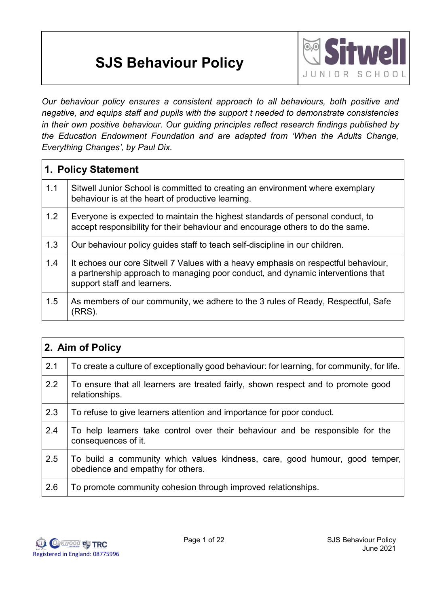# **SJS Behaviour Policy**



*Our behaviour policy ensures a consistent approach to all behaviours, both positive and negative, and equips staff and pupils with the support t needed to demonstrate consistencies in their own positive behaviour. Our guiding principles reflect research findings published by the Education Endowment Foundation and are adapted from 'When the Adults Change, Everything Changes', by Paul Dix.*

|     | 1. Policy Statement                                                                                                                                                                                  |  |  |
|-----|------------------------------------------------------------------------------------------------------------------------------------------------------------------------------------------------------|--|--|
| 1.1 | Sitwell Junior School is committed to creating an environment where exemplary<br>behaviour is at the heart of productive learning.                                                                   |  |  |
| 1.2 | Everyone is expected to maintain the highest standards of personal conduct, to<br>accept responsibility for their behaviour and encourage others to do the same.                                     |  |  |
| 1.3 | Our behaviour policy guides staff to teach self-discipline in our children.                                                                                                                          |  |  |
| 1.4 | It echoes our core Sitwell 7 Values with a heavy emphasis on respectful behaviour,<br>a partnership approach to managing poor conduct, and dynamic interventions that<br>support staff and learners. |  |  |
| 1.5 | As members of our community, we adhere to the 3 rules of Ready, Respectful, Safe<br>(RRS)                                                                                                            |  |  |

| 2. Aim of Policy |                                                                                                                  |  |
|------------------|------------------------------------------------------------------------------------------------------------------|--|
| 2.1              | To create a culture of exceptionally good behaviour: for learning, for community, for life.                      |  |
| 2.2              | To ensure that all learners are treated fairly, shown respect and to promote good<br>relationships.              |  |
| 2.3              | To refuse to give learners attention and importance for poor conduct.                                            |  |
| 2.4              | To help learners take control over their behaviour and be responsible for the<br>consequences of it.             |  |
| 2.5              | To build a community which values kindness, care, good humour, good temper,<br>obedience and empathy for others. |  |
| 2.6              | To promote community cohesion through improved relationships.                                                    |  |

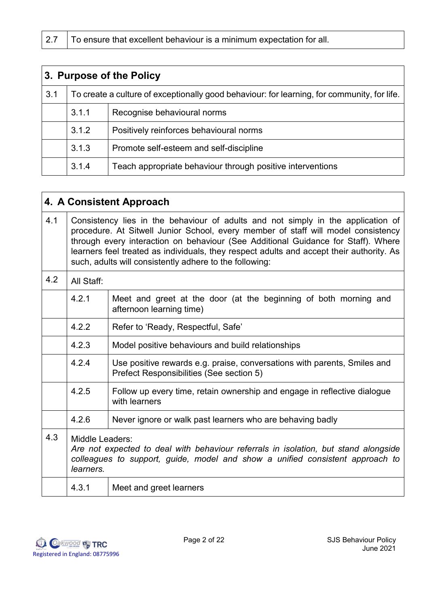| 3. Purpose of the Policy |       |                                                                                             |
|--------------------------|-------|---------------------------------------------------------------------------------------------|
| 3.1                      |       | To create a culture of exceptionally good behaviour: for learning, for community, for life. |
|                          | 3.1.1 | Recognise behavioural norms                                                                 |
|                          | 3.1.2 | Positively reinforces behavioural norms                                                     |
|                          | 3.1.3 | Promote self-esteem and self-discipline                                                     |
|                          | 3.1.4 | Teach appropriate behaviour through positive interventions                                  |

|     | 4. A Consistent Approach                                                                                                                                                                                                                                                                                                                                                                                          |                                                                                                                      |
|-----|-------------------------------------------------------------------------------------------------------------------------------------------------------------------------------------------------------------------------------------------------------------------------------------------------------------------------------------------------------------------------------------------------------------------|----------------------------------------------------------------------------------------------------------------------|
| 4.1 | Consistency lies in the behaviour of adults and not simply in the application of<br>procedure. At Sitwell Junior School, every member of staff will model consistency<br>through every interaction on behaviour (See Additional Guidance for Staff). Where<br>learners feel treated as individuals, they respect adults and accept their authority. As<br>such, adults will consistently adhere to the following: |                                                                                                                      |
| 4.2 | All Staff:                                                                                                                                                                                                                                                                                                                                                                                                        |                                                                                                                      |
|     | 4.2.1                                                                                                                                                                                                                                                                                                                                                                                                             | Meet and greet at the door (at the beginning of both morning and<br>afternoon learning time)                         |
|     | 4.2.2                                                                                                                                                                                                                                                                                                                                                                                                             | Refer to 'Ready, Respectful, Safe'                                                                                   |
|     | 4.2.3                                                                                                                                                                                                                                                                                                                                                                                                             | Model positive behaviours and build relationships                                                                    |
|     | 4.2.4                                                                                                                                                                                                                                                                                                                                                                                                             | Use positive rewards e.g. praise, conversations with parents, Smiles and<br>Prefect Responsibilities (See section 5) |
|     | 4.2.5                                                                                                                                                                                                                                                                                                                                                                                                             | Follow up every time, retain ownership and engage in reflective dialogue<br>with learners                            |
|     | 4.2.6                                                                                                                                                                                                                                                                                                                                                                                                             | Never ignore or walk past learners who are behaving badly                                                            |
| 4.3 | Middle Leaders:<br>Are not expected to deal with behaviour referrals in isolation, but stand alongside<br>colleagues to support, guide, model and show a unified consistent approach to<br>learners.                                                                                                                                                                                                              |                                                                                                                      |
|     | 4.3.1                                                                                                                                                                                                                                                                                                                                                                                                             | Meet and greet learners                                                                                              |

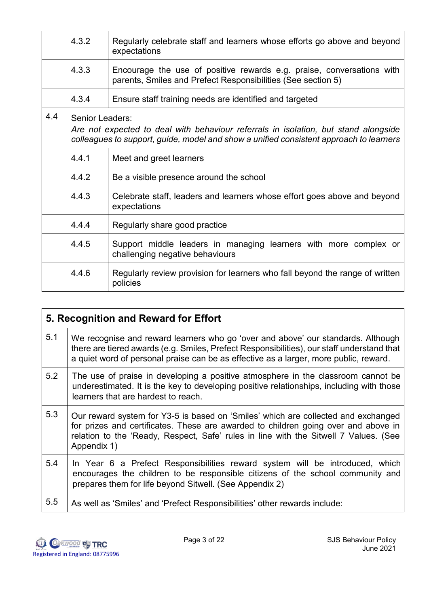|     | 4.3.2           | Regularly celebrate staff and learners whose efforts go above and beyond<br>expectations                                                                                      |
|-----|-----------------|-------------------------------------------------------------------------------------------------------------------------------------------------------------------------------|
|     | 4.3.3           | Encourage the use of positive rewards e.g. praise, conversations with<br>parents, Smiles and Prefect Responsibilities (See section 5)                                         |
|     | 4.3.4           | Ensure staff training needs are identified and targeted                                                                                                                       |
| 4.4 | Senior Leaders: | Are not expected to deal with behaviour referrals in isolation, but stand alongside<br>colleagues to support, guide, model and show a unified consistent approach to learners |
|     | 4.4.1           | Meet and greet learners                                                                                                                                                       |
|     | 4.4.2           | Be a visible presence around the school                                                                                                                                       |
|     | 4.4.3           | Celebrate staff, leaders and learners whose effort goes above and beyond<br>expectations                                                                                      |
|     | 4.4.4           | Regularly share good practice                                                                                                                                                 |
|     | 4.4.5           | Support middle leaders in managing learners with more complex or<br>challenging negative behaviours                                                                           |
|     | 4.4.6           | Regularly review provision for learners who fall beyond the range of written<br>policies                                                                                      |

|     | 5. Recognition and Reward for Effort                                                                                                                                                                                                                                           |  |
|-----|--------------------------------------------------------------------------------------------------------------------------------------------------------------------------------------------------------------------------------------------------------------------------------|--|
| 5.1 | We recognise and reward learners who go 'over and above' our standards. Although<br>there are tiered awards (e.g. Smiles, Prefect Responsibilities), our staff understand that<br>a quiet word of personal praise can be as effective as a larger, more public, reward.        |  |
| 5.2 | The use of praise in developing a positive atmosphere in the classroom cannot be<br>underestimated. It is the key to developing positive relationships, including with those<br>learners that are hardest to reach.                                                            |  |
| 5.3 | Our reward system for Y3-5 is based on 'Smiles' which are collected and exchanged<br>for prizes and certificates. These are awarded to children going over and above in<br>relation to the 'Ready, Respect, Safe' rules in line with the Sitwell 7 Values. (See<br>Appendix 1) |  |
| 5.4 | In Year 6 a Prefect Responsibilities reward system will be introduced, which<br>encourages the children to be responsible citizens of the school community and<br>prepares them for life beyond Sitwell. (See Appendix 2)                                                      |  |
| 5.5 | As well as 'Smiles' and 'Prefect Responsibilities' other rewards include:                                                                                                                                                                                                      |  |

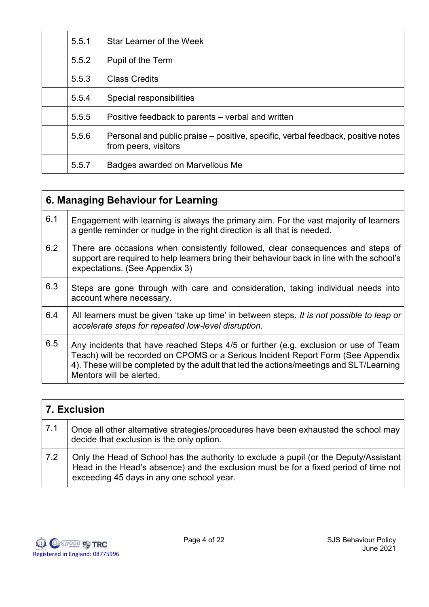| 5.5.1 | Star Learner of the Week                                                                                 |
|-------|----------------------------------------------------------------------------------------------------------|
| 5.5.2 | Pupil of the Term                                                                                        |
| 5.5.3 | <b>Class Credits</b>                                                                                     |
| 5.5.4 | Special responsibilities                                                                                 |
| 5.5.5 | Positive feedback to parents – verbal and written                                                        |
| 5.5.6 | Personal and public praise – positive, specific, verbal feedback, positive notes<br>from peers, visitors |
| 5.5.7 | Badges awarded on Marvellous Me                                                                          |

| 6. Managing Behaviour for Learning |                                                                                                                                                                                                                                                                                                |  |
|------------------------------------|------------------------------------------------------------------------------------------------------------------------------------------------------------------------------------------------------------------------------------------------------------------------------------------------|--|
| 6.1                                | Engagement with learning is always the primary aim. For the vast majority of learners<br>a gentle reminder or nudge in the right direction is all that is needed.                                                                                                                              |  |
| 6.2                                | There are occasions when consistently followed, clear consequences and steps of<br>support are required to help learners bring their behaviour back in line with the school's<br>expectations. (See Appendix 3)                                                                                |  |
| 6.3                                | Steps are gone through with care and consideration, taking individual needs into<br>account where necessary.                                                                                                                                                                                   |  |
| 6.4                                | All learners must be given 'take up time' in between steps. It is not possible to leap or<br>accelerate steps for repeated low-level disruption.                                                                                                                                               |  |
| 6.5                                | Any incidents that have reached Steps 4/5 or further (e.g. exclusion or use of Team<br>Teach) will be recorded on CPOMS or a Serious Incident Report Form (See Appendix<br>4). These will be completed by the adult that led the actions/meetings and SLT/Learning<br>Mentors will be alerted. |  |

|     | 7. Exclusion                                                                                                                                                                                                               |  |
|-----|----------------------------------------------------------------------------------------------------------------------------------------------------------------------------------------------------------------------------|--|
| 7.1 | Once all other alternative strategies/procedures have been exhausted the school may<br>decide that exclusion is the only option.                                                                                           |  |
| 7.2 | Only the Head of School has the authority to exclude a pupil (or the Deputy/Assistant<br>Head in the Head's absence) and the exclusion must be for a fixed period of time not<br>exceeding 45 days in any one school year. |  |

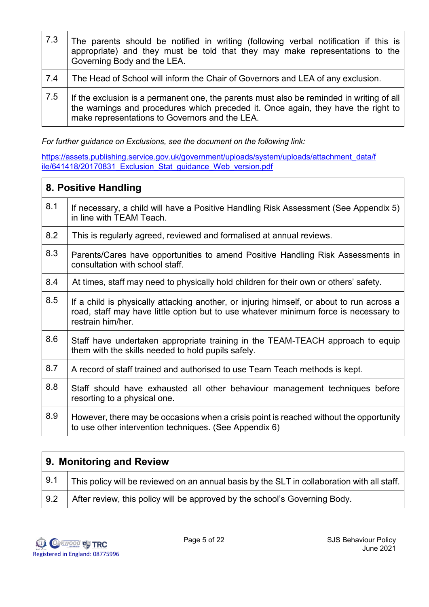| 7.3 | The parents should be notified in writing (following verbal notification if this is<br>appropriate) and they must be told that they may make representations to the<br>Governing Body and the LEA.                              |
|-----|---------------------------------------------------------------------------------------------------------------------------------------------------------------------------------------------------------------------------------|
| 7.4 | The Head of School will inform the Chair of Governors and LEA of any exclusion.                                                                                                                                                 |
| 7.5 | If the exclusion is a permanent one, the parents must also be reminded in writing of all<br>the warnings and procedures which preceded it. Once again, they have the right to<br>make representations to Governors and the LEA. |

*For further guidance on Exclusions, see the document on the following link:*

[https://assets.publishing.service.gov.uk/government/uploads/system/uploads/attachment\\_data/f](https://assets.publishing.service.gov.uk/government/uploads/system/uploads/attachment_data/file/641418/20170831_Exclusion_Stat_guidance_Web_version.pdf) [ile/641418/20170831\\_Exclusion\\_Stat\\_guidance\\_Web\\_version.pdf](https://assets.publishing.service.gov.uk/government/uploads/system/uploads/attachment_data/file/641418/20170831_Exclusion_Stat_guidance_Web_version.pdf)

|     | 8. Positive Handling                                                                                                                                                                                   |  |
|-----|--------------------------------------------------------------------------------------------------------------------------------------------------------------------------------------------------------|--|
| 8.1 | If necessary, a child will have a Positive Handling Risk Assessment (See Appendix 5)<br>in line with TEAM Teach.                                                                                       |  |
| 8.2 | This is regularly agreed, reviewed and formalised at annual reviews.                                                                                                                                   |  |
| 8.3 | Parents/Cares have opportunities to amend Positive Handling Risk Assessments in<br>consultation with school staff.                                                                                     |  |
| 8.4 | At times, staff may need to physically hold children for their own or others' safety.                                                                                                                  |  |
| 8.5 | If a child is physically attacking another, or injuring himself, or about to run across a<br>road, staff may have little option but to use whatever minimum force is necessary to<br>restrain him/her. |  |
| 8.6 | Staff have undertaken appropriate training in the TEAM-TEACH approach to equip<br>them with the skills needed to hold pupils safely.                                                                   |  |
| 8.7 | A record of staff trained and authorised to use Team Teach methods is kept.                                                                                                                            |  |
| 8.8 | Staff should have exhausted all other behaviour management techniques before<br>resorting to a physical one.                                                                                           |  |
| 8.9 | However, there may be occasions when a crisis point is reached without the opportunity<br>to use other intervention techniques. (See Appendix 6)                                                       |  |

| 9. Monitoring and Review |                                                                                                    |
|--------------------------|----------------------------------------------------------------------------------------------------|
| 9.1                      | This policy will be reviewed on an annual basis by the SLT in collaboration with all staff. $\mid$ |
| 9.2                      | After review, this policy will be approved by the school's Governing Body.                         |

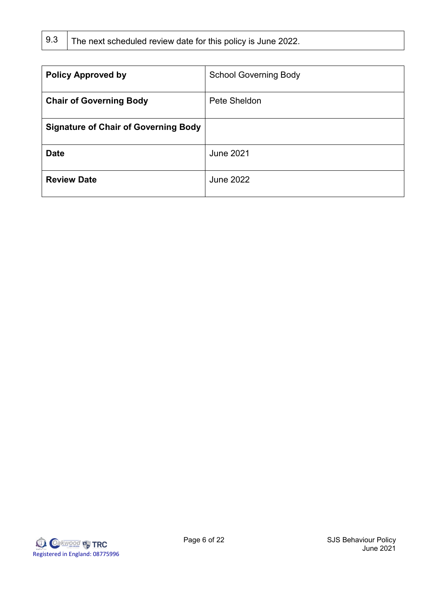|  | 9.3 The next scheduled review date for this policy is June 2022 |  |
|--|-----------------------------------------------------------------|--|
|--|-----------------------------------------------------------------|--|

| <b>Policy Approved by</b>                   | <b>School Governing Body</b> |
|---------------------------------------------|------------------------------|
| <b>Chair of Governing Body</b>              | Pete Sheldon                 |
| <b>Signature of Chair of Governing Body</b> |                              |
| <b>Date</b>                                 | <b>June 2021</b>             |
| <b>Review Date</b>                          | <b>June 2022</b>             |

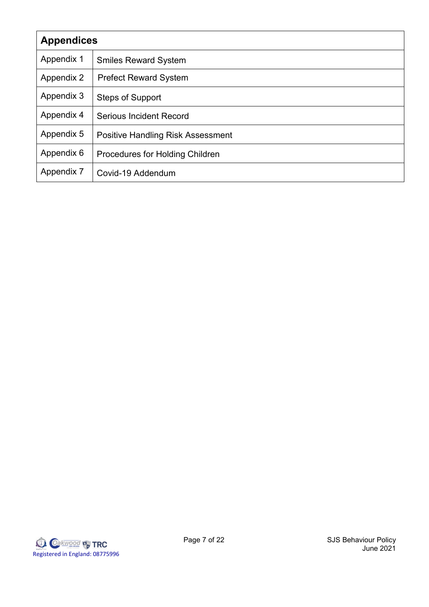| <b>Appendices</b> |                                          |  |
|-------------------|------------------------------------------|--|
| Appendix 1        | <b>Smiles Reward System</b>              |  |
| Appendix 2        | <b>Prefect Reward System</b>             |  |
| Appendix 3        | <b>Steps of Support</b>                  |  |
| Appendix 4        | <b>Serious Incident Record</b>           |  |
| Appendix 5        | <b>Positive Handling Risk Assessment</b> |  |
| Appendix 6        | Procedures for Holding Children          |  |
| Appendix 7        | Covid-19 Addendum                        |  |

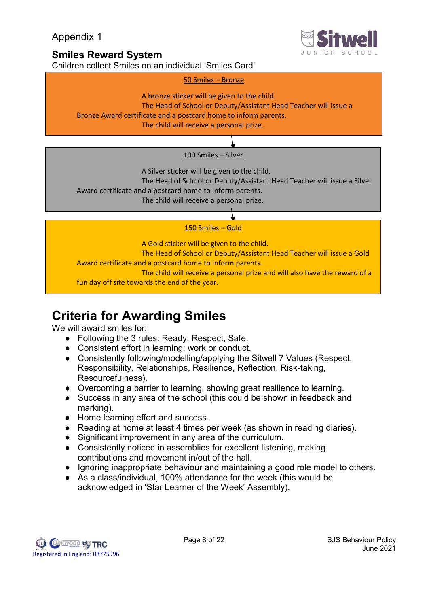

## **Smiles Reward System**

Children collect Smiles on an individual 'Smiles Card'





A Silver sticker will be given to the child.

The Head of School or Deputy/Assistant Head Teacher will issue a Silver

Award certificate and a postcard home to inform parents.

The child will receive a personal prize.

## 150 Smiles – Gold

A Gold sticker will be given to the child. The Head of School or Deputy/Assistant Head Teacher will issue a Gold Award certificate and a postcard home to inform parents. The child will receive a personal prize and will also have the reward of a fun day off site towards the end of the year.

# **Criteria for Awarding Smiles**

We will award smiles for:

- Following the 3 rules: Ready, Respect, Safe.
- Consistent effort in learning; work or conduct.
- Consistently following/modelling/applying the Sitwell 7 Values (Respect, Responsibility, Relationships, Resilience, Reflection, Risk-taking, Resourcefulness).
- Overcoming a barrier to learning, showing great resilience to learning.
- Success in any area of the school (this could be shown in feedback and marking).
- Home learning effort and success.
- Reading at home at least 4 times per week (as shown in reading diaries).
- Significant improvement in any area of the curriculum.
- Consistently noticed in assemblies for excellent listening, making contributions and movement in/out of the hall.
- Ignoring inappropriate behaviour and maintaining a good role model to others.
- As a class/individual, 100% attendance for the week (this would be acknowledged in 'Star Learner of the Week' Assembly).

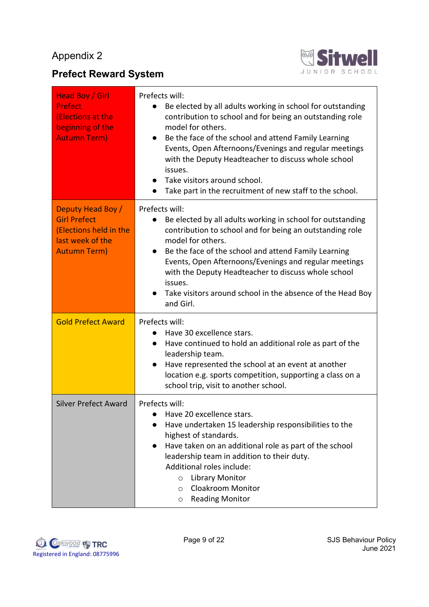## **Prefect Reward System**



| <b>Head Boy / Girl</b><br><b>Prefect</b><br>(Elections at the<br>beginning of the<br><b>Autumn Term)</b>      | Prefects will:<br>Be elected by all adults working in school for outstanding<br>contribution to school and for being an outstanding role<br>model for others.<br>Be the face of the school and attend Family Learning<br>Events, Open Afternoons/Evenings and regular meetings<br>with the Deputy Headteacher to discuss whole school<br>issues.<br>Take visitors around school.<br>Take part in the recruitment of new staff to the school.          |  |
|---------------------------------------------------------------------------------------------------------------|-------------------------------------------------------------------------------------------------------------------------------------------------------------------------------------------------------------------------------------------------------------------------------------------------------------------------------------------------------------------------------------------------------------------------------------------------------|--|
| Deputy Head Boy /<br><b>Girl Prefect</b><br>(Elections held in the<br>last week of the<br><b>Autumn Term)</b> | Prefects will:<br>Be elected by all adults working in school for outstanding<br>$\bullet$<br>contribution to school and for being an outstanding role<br>model for others.<br>Be the face of the school and attend Family Learning<br>$\bullet$<br>Events, Open Afternoons/Evenings and regular meetings<br>with the Deputy Headteacher to discuss whole school<br>issues.<br>Take visitors around school in the absence of the Head Boy<br>and Girl. |  |
| <b>Gold Prefect Award</b>                                                                                     | Prefects will:<br>Have 30 excellence stars.<br>Have continued to hold an additional role as part of the<br>$\bullet$<br>leadership team.<br>Have represented the school at an event at another<br>$\bullet$<br>location e.g. sports competition, supporting a class on a<br>school trip, visit to another school.                                                                                                                                     |  |
| <b>Silver Prefect Award</b>                                                                                   | Prefects will:<br>Have 20 excellence stars.<br>Have undertaken 15 leadership responsibilities to the<br>highest of standards.<br>Have taken on an additional role as part of the school<br>$\bullet$<br>leadership team in addition to their duty.<br>Additional roles include:<br><b>Library Monitor</b><br>$\circ$<br><b>Cloakroom Monitor</b><br>$\circ$<br><b>Reading Monitor</b><br>$\circ$                                                      |  |

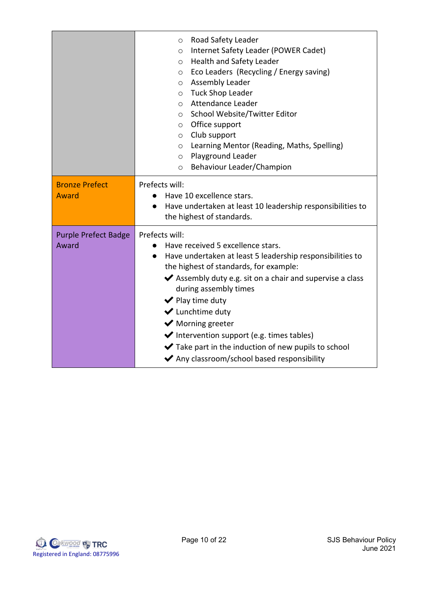|                                      | Road Safety Leader<br>$\circ$<br>Internet Safety Leader (POWER Cadet)<br>$\circ$<br>o Health and Safety Leader<br>Eco Leaders (Recycling / Energy saving)<br>$\circ$<br>Assembly Leader<br>$\circ$<br>o Tuck Shop Leader<br>Attendance Leader<br>$\circ$<br>School Website/Twitter Editor<br>$\circ$<br>O Office support<br>o Club support<br>Learning Mentor (Reading, Maths, Spelling)<br>$\circ$<br>o Playground Leader<br>Behaviour Leader/Champion<br>$\circ$                                               |  |  |
|--------------------------------------|------------------------------------------------------------------------------------------------------------------------------------------------------------------------------------------------------------------------------------------------------------------------------------------------------------------------------------------------------------------------------------------------------------------------------------------------------------------------------------------------------------------|--|--|
| <b>Bronze Prefect</b><br>Award       | Prefects will:<br>Have 10 excellence stars.                                                                                                                                                                                                                                                                                                                                                                                                                                                                      |  |  |
|                                      | Have undertaken at least 10 leadership responsibilities to<br>the highest of standards.                                                                                                                                                                                                                                                                                                                                                                                                                          |  |  |
| <b>Purple Prefect Badge</b><br>Award | Prefects will:<br>Have received 5 excellence stars.<br>$\bullet$<br>Have undertaken at least 5 leadership responsibilities to<br>$\bullet$<br>the highest of standards, for example:<br>◆ Assembly duty e.g. sit on a chair and supervise a class<br>during assembly times<br>$\blacktriangleright$ Play time duty<br>◆ Lunchtime duty<br>◆ Morning greeter<br>◆ Intervention support (e.g. times tables)<br>◆ Take part in the induction of new pupils to school<br>◆ Any classroom/school based responsibility |  |  |

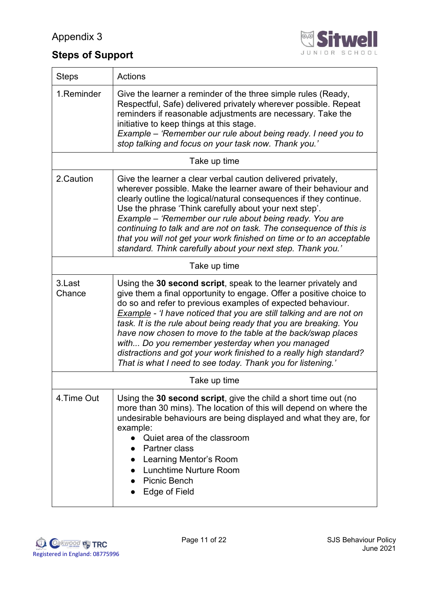

# **Steps of Support**

| <b>Steps</b>                                                                                                                                                                                                                                                                                                                                                                    | <b>Actions</b>                                                                                                                                                                                                                                                                                                                                                                                                                                                                                                                                                                                                  |  |  |  |
|---------------------------------------------------------------------------------------------------------------------------------------------------------------------------------------------------------------------------------------------------------------------------------------------------------------------------------------------------------------------------------|-----------------------------------------------------------------------------------------------------------------------------------------------------------------------------------------------------------------------------------------------------------------------------------------------------------------------------------------------------------------------------------------------------------------------------------------------------------------------------------------------------------------------------------------------------------------------------------------------------------------|--|--|--|
| 1.Reminder                                                                                                                                                                                                                                                                                                                                                                      | Give the learner a reminder of the three simple rules (Ready,<br>Respectful, Safe) delivered privately wherever possible. Repeat<br>reminders if reasonable adjustments are necessary. Take the<br>initiative to keep things at this stage.<br>Example – 'Remember our rule about being ready. I need you to<br>stop talking and focus on your task now. Thank you.'                                                                                                                                                                                                                                            |  |  |  |
|                                                                                                                                                                                                                                                                                                                                                                                 | Take up time                                                                                                                                                                                                                                                                                                                                                                                                                                                                                                                                                                                                    |  |  |  |
| 2.Caution                                                                                                                                                                                                                                                                                                                                                                       | Give the learner a clear verbal caution delivered privately,<br>wherever possible. Make the learner aware of their behaviour and<br>clearly outline the logical/natural consequences if they continue.<br>Use the phrase 'Think carefully about your next step'.<br>Example – 'Remember our rule about being ready. You are<br>continuing to talk and are not on task. The consequence of this is<br>that you will not get your work finished on time or to an acceptable<br>standard. Think carefully about your next step. Thank you.'                                                                        |  |  |  |
| Take up time                                                                                                                                                                                                                                                                                                                                                                    |                                                                                                                                                                                                                                                                                                                                                                                                                                                                                                                                                                                                                 |  |  |  |
| 3.Last<br>Chance                                                                                                                                                                                                                                                                                                                                                                | Using the 30 second script, speak to the learner privately and<br>give them a final opportunity to engage. Offer a positive choice to<br>do so and refer to previous examples of expected behaviour.<br><b>Example</b> - 'I have noticed that you are still talking and are not on<br>task. It is the rule about being ready that you are breaking. You<br>have now chosen to move to the table at the back/swap places<br>with Do you remember yesterday when you managed<br>distractions and got your work finished to a really high standard?<br>That is what I need to see today. Thank you for listening.' |  |  |  |
|                                                                                                                                                                                                                                                                                                                                                                                 | Take up time                                                                                                                                                                                                                                                                                                                                                                                                                                                                                                                                                                                                    |  |  |  |
| 4.Time Out<br>Using the 30 second script, give the child a short time out (no<br>more than 30 mins). The location of this will depend on where the<br>undesirable behaviours are being displayed and what they are, for<br>example:<br>Quiet area of the classroom<br>Partner class<br>Learning Mentor's Room<br><b>Lunchtime Nurture Room</b><br>Picnic Bench<br>Edge of Field |                                                                                                                                                                                                                                                                                                                                                                                                                                                                                                                                                                                                                 |  |  |  |

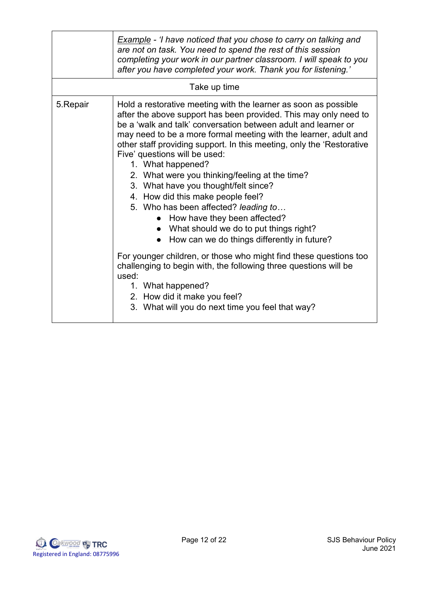|          | Example - 'I have noticed that you chose to carry on talking and<br>are not on task. You need to spend the rest of this session<br>completing your work in our partner classroom. I will speak to you<br>after you have completed your work. Thank you for listening.'                                                                                                                                                                                                                                                                                                                                                                                                                                                                                                                                                                                                                                                                                                           |  |  |
|----------|----------------------------------------------------------------------------------------------------------------------------------------------------------------------------------------------------------------------------------------------------------------------------------------------------------------------------------------------------------------------------------------------------------------------------------------------------------------------------------------------------------------------------------------------------------------------------------------------------------------------------------------------------------------------------------------------------------------------------------------------------------------------------------------------------------------------------------------------------------------------------------------------------------------------------------------------------------------------------------|--|--|
|          | Take up time                                                                                                                                                                                                                                                                                                                                                                                                                                                                                                                                                                                                                                                                                                                                                                                                                                                                                                                                                                     |  |  |
| 5.Repair | Hold a restorative meeting with the learner as soon as possible<br>after the above support has been provided. This may only need to<br>be a 'walk and talk' conversation between adult and learner or<br>may need to be a more formal meeting with the learner, adult and<br>other staff providing support. In this meeting, only the 'Restorative<br>Five' questions will be used:<br>1. What happened?<br>2. What were you thinking/feeling at the time?<br>3. What have you thought/felt since?<br>4. How did this make people feel?<br>5. Who has been affected? leading to<br>How have they been affected?<br>$\bullet$<br>What should we do to put things right?<br>How can we do things differently in future?<br>For younger children, or those who might find these questions too<br>challenging to begin with, the following three questions will be<br>used:<br>1. What happened?<br>2. How did it make you feel?<br>3. What will you do next time you feel that way? |  |  |

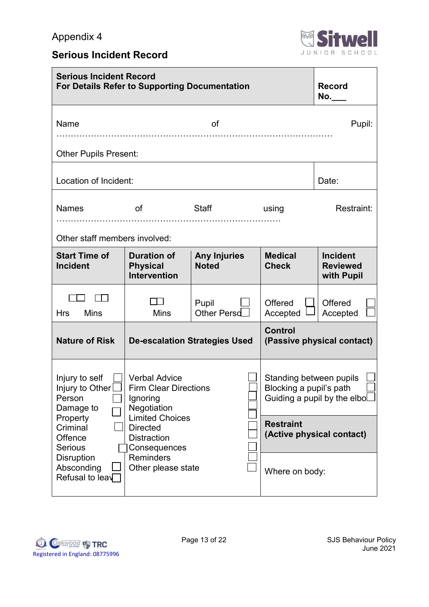

## **Serious Incident Record**

| <b>Serious Incident Record</b><br><b>For Details Refer to Supporting Documentation</b> |                                                                                                           |                                     |                                                                                          | <b>Record</b><br>No.                             |
|----------------------------------------------------------------------------------------|-----------------------------------------------------------------------------------------------------------|-------------------------------------|------------------------------------------------------------------------------------------|--------------------------------------------------|
| Name                                                                                   |                                                                                                           | Pupil:                              |                                                                                          |                                                  |
| <b>Other Pupils Present:</b><br>Location of Incident:                                  |                                                                                                           |                                     |                                                                                          |                                                  |
| <b>Names</b><br>Other staff members involved:                                          | of                                                                                                        | Staff                               | using                                                                                    | Date:<br>Restraint:                              |
| <b>Start Time of</b><br><b>Incident</b>                                                | <b>Duration of</b><br><b>Physical</b><br><b>Intervention</b>                                              | <b>Any Injuries</b><br><b>Noted</b> | <b>Medical</b><br><b>Check</b>                                                           | <b>Incident</b><br><b>Reviewed</b><br>with Pupil |
| <b>Mins</b><br><b>Hrs</b>                                                              | <b>Mins</b>                                                                                               | Pupil<br>Other Persd                | Offered<br>Accepted                                                                      | Offered<br>Accepted                              |
| <b>Nature of Risk</b>                                                                  | <b>De-escalation Strategies Used</b>                                                                      |                                     | <b>Control</b>                                                                           | (Passive physical contact)                       |
| Injury to self<br>Injury to Other<br>Person<br>Damage to<br>Property                   | <b>Verbal Advice</b><br><b>Firm Clear Directions</b><br>Ignoring<br>Negotiation<br><b>Limited Choices</b> |                                     | Standing between pupils<br>Blocking a pupil's path<br>Guiding a pupil by the elbo $\Box$ |                                                  |
| Criminal<br>Offence<br><b>Serious</b><br><b>Disruption</b>                             | <b>Directed</b><br><b>Distraction</b><br>Consequences                                                     |                                     | <b>Restraint</b><br>(Active physical contact)                                            |                                                  |
| Absconding<br>Refusal to leav                                                          | <b>Reminders</b><br>Other please state                                                                    |                                     | Where on body:                                                                           |                                                  |

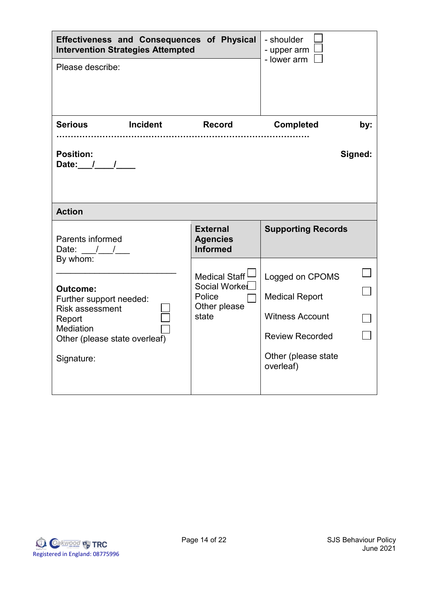| Effectiveness and Consequences of Physical<br><b>Intervention Strategies Attempted</b>                                                                 | - shoulder<br>- upper arm                                                      |                                                                                                                                  |     |
|--------------------------------------------------------------------------------------------------------------------------------------------------------|--------------------------------------------------------------------------------|----------------------------------------------------------------------------------------------------------------------------------|-----|
| Please describe:                                                                                                                                       |                                                                                | - lower arm                                                                                                                      |     |
| <b>Incident</b><br><b>Serious</b>                                                                                                                      | Record                                                                         | <b>Completed</b>                                                                                                                 | by: |
| <b>Position:</b><br>Date: $1/$                                                                                                                         |                                                                                | Signed:                                                                                                                          |     |
| <b>Action</b>                                                                                                                                          |                                                                                |                                                                                                                                  |     |
| Parents informed<br>Date: $\frac{1}{\sqrt{2}}$                                                                                                         | <b>External</b><br><b>Agencies</b><br><b>Informed</b>                          | <b>Supporting Records</b>                                                                                                        |     |
| By whom:<br>Outcome:<br>Further support needed:<br><b>Risk assessment</b><br>Report<br><b>Mediation</b><br>Other (please state overleaf)<br>Signature: | Medical Staff <sup>1</sup><br>Social Workel<br>Police<br>Other please<br>state | Logged on CPOMS<br><b>Medical Report</b><br><b>Witness Account</b><br><b>Review Recorded</b><br>Other (please state<br>overleaf) |     |

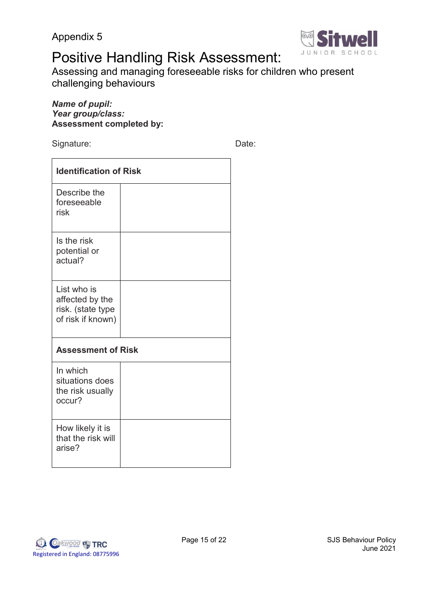

# Positive Handling Risk Assessment:

Assessing and managing foreseeable risks for children who present challenging behaviours

## *Name of pupil: Year group/class:* **Assessment completed by:**

Signature: Date: Date:

| <b>Identification of Risk</b>                                            |  |  |
|--------------------------------------------------------------------------|--|--|
| Describe the<br>foreseeable<br>risk                                      |  |  |
| Is the risk<br>potential or<br>actual?                                   |  |  |
| List who is<br>affected by the<br>risk. (state type<br>of risk if known) |  |  |
| <b>Assessment of Risk</b>                                                |  |  |
| In which<br>situations does<br>the risk usually<br>occur?                |  |  |
| How likely it is<br>that the risk will<br>arise?                         |  |  |

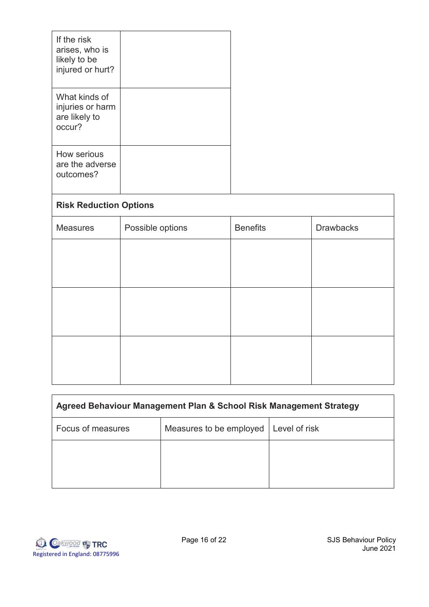| If the risk<br>arises, who is<br>likely to be<br>injured or hurt? |  |
|-------------------------------------------------------------------|--|
| What kinds of<br>injuries or harm<br>are likely to<br>occur?      |  |
| How serious<br>are the adverse<br>outcomes?                       |  |

| <b>Risk Reduction Options</b> |                  |                 |                  |  |
|-------------------------------|------------------|-----------------|------------------|--|
| <b>Measures</b>               | Possible options | <b>Benefits</b> | <b>Drawbacks</b> |  |
|                               |                  |                 |                  |  |
|                               |                  |                 |                  |  |
|                               |                  |                 |                  |  |
|                               |                  |                 |                  |  |
|                               |                  |                 |                  |  |
|                               |                  |                 |                  |  |

| Agreed Behaviour Management Plan & School Risk Management Strategy |               |  |  |
|--------------------------------------------------------------------|---------------|--|--|
| Measures to be employed                                            | Level of risk |  |  |
|                                                                    |               |  |  |
|                                                                    |               |  |  |
|                                                                    |               |  |  |

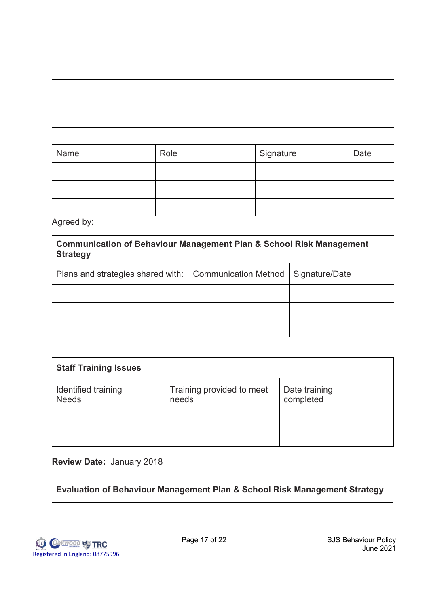| Name | Role | Signature | Date |
|------|------|-----------|------|
|      |      |           |      |
|      |      |           |      |
|      |      |           |      |

Agreed by:

**Communication of Behaviour Management Plan & School Risk Management Strategy**

| Plans and strategies shared with:   Communication Method   Signature/Date |  |
|---------------------------------------------------------------------------|--|
|                                                                           |  |
|                                                                           |  |
|                                                                           |  |

| <b>Staff Training Issues</b>        |                                    |                            |
|-------------------------------------|------------------------------------|----------------------------|
| Identified training<br><b>Needs</b> | Training provided to meet<br>needs | Date training<br>completed |
|                                     |                                    |                            |
|                                     |                                    |                            |

## **Review Date:** January 2018

**Evaluation of Behaviour Management Plan & School Risk Management Strategy**

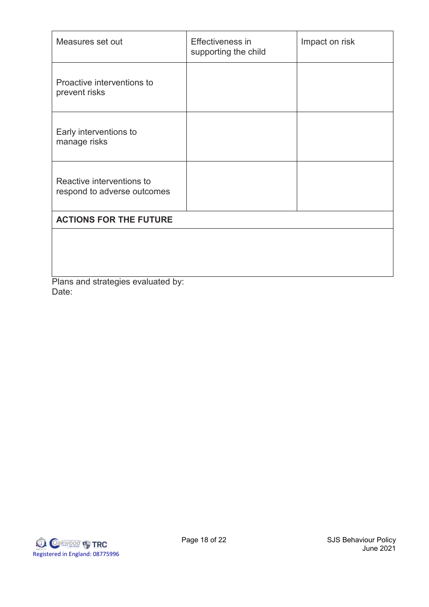| Measures set out                                         | Effectiveness in<br>supporting the child | Impact on risk |
|----------------------------------------------------------|------------------------------------------|----------------|
| Proactive interventions to<br>prevent risks              |                                          |                |
| Early interventions to<br>manage risks                   |                                          |                |
| Reactive interventions to<br>respond to adverse outcomes |                                          |                |
| <b>ACTIONS FOR THE FUTURE</b>                            |                                          |                |
|                                                          |                                          |                |

Plans and strategies evaluated by: Date:

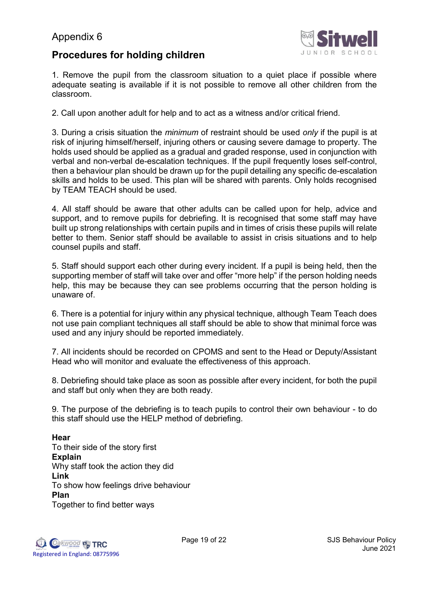

## **Procedures for holding children**

1. Remove the pupil from the classroom situation to a quiet place if possible where adequate seating is available if it is not possible to remove all other children from the classroom.

2. Call upon another adult for help and to act as a witness and/or critical friend.

3. During a crisis situation the *minimum* of restraint should be used *only* if the pupil is at risk of injuring himself/herself, injuring others or causing severe damage to property. The holds used should be applied as a gradual and graded response, used in conjunction with verbal and non-verbal de-escalation techniques. If the pupil frequently loses self-control, then a behaviour plan should be drawn up for the pupil detailing any specific de-escalation skills and holds to be used. This plan will be shared with parents. Only holds recognised by TEAM TEACH should be used.

4. All staff should be aware that other adults can be called upon for help, advice and support, and to remove pupils for debriefing. It is recognised that some staff may have built up strong relationships with certain pupils and in times of crisis these pupils will relate better to them. Senior staff should be available to assist in crisis situations and to help counsel pupils and staff.

5. Staff should support each other during every incident. If a pupil is being held, then the supporting member of staff will take over and offer "more help" if the person holding needs help, this may be because they can see problems occurring that the person holding is unaware of.

6. There is a potential for injury within any physical technique, although Team Teach does not use pain compliant techniques all staff should be able to show that minimal force was used and any injury should be reported immediately.

7. All incidents should be recorded on CPOMS and sent to the Head or Deputy/Assistant Head who will monitor and evaluate the effectiveness of this approach.

8. Debriefing should take place as soon as possible after every incident, for both the pupil and staff but only when they are both ready.

9. The purpose of the debriefing is to teach pupils to control their own behaviour - to do this staff should use the HELP method of debriefing.

## **Hear**

To their side of the story first **Explain**  Why staff took the action they did **Link**  To show how feelings drive behaviour **Plan**  Together to find better ways

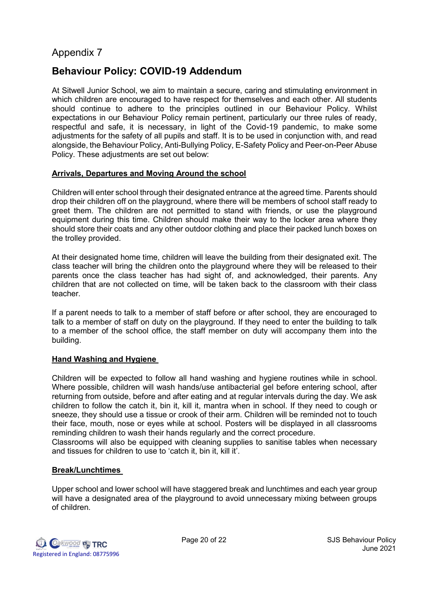## **Behaviour Policy: COVID-19 Addendum**

At Sitwell Junior School, we aim to maintain a secure, caring and stimulating environment in which children are encouraged to have respect for themselves and each other. All students should continue to adhere to the principles outlined in our Behaviour Policy. Whilst expectations in our Behaviour Policy remain pertinent, particularly our three rules of ready, respectful and safe, it is necessary, in light of the Covid-19 pandemic, to make some adjustments for the safety of all pupils and staff. It is to be used in conjunction with, and read alongside, the Behaviour Policy, Anti-Bullying Policy, E-Safety Policy and Peer-on-Peer Abuse Policy. These adjustments are set out below:

## **Arrivals, Departures and Moving Around the school**

Children will enter school through their designated entrance at the agreed time. Parents should drop their children off on the playground, where there will be members of school staff ready to greet them. The children are not permitted to stand with friends, or use the playground equipment during this time. Children should make their way to the locker area where they should store their coats and any other outdoor clothing and place their packed lunch boxes on the trolley provided.

At their designated home time, children will leave the building from their designated exit. The class teacher will bring the children onto the playground where they will be released to their parents once the class teacher has had sight of, and acknowledged, their parents. Any children that are not collected on time, will be taken back to the classroom with their class teacher.

If a parent needs to talk to a member of staff before or after school, they are encouraged to talk to a member of staff on duty on the playground. If they need to enter the building to talk to a member of the school office, the staff member on duty will accompany them into the building.

#### **Hand Washing and Hygiene**

Children will be expected to follow all hand washing and hygiene routines while in school. Where possible, children will wash hands/use antibacterial gel before entering school, after returning from outside, before and after eating and at regular intervals during the day. We ask children to follow the catch it, bin it, kill it, mantra when in school. If they need to cough or sneeze, they should use a tissue or crook of their arm. Children will be reminded not to touch their face, mouth, nose or eyes while at school. Posters will be displayed in all classrooms reminding children to wash their hands regularly and the correct procedure.

Classrooms will also be equipped with cleaning supplies to sanitise tables when necessary and tissues for children to use to 'catch it, bin it, kill it'.

#### **Break/Lunchtimes**

Upper school and lower school will have staggered break and lunchtimes and each year group will have a designated area of the playground to avoid unnecessary mixing between groups of children.

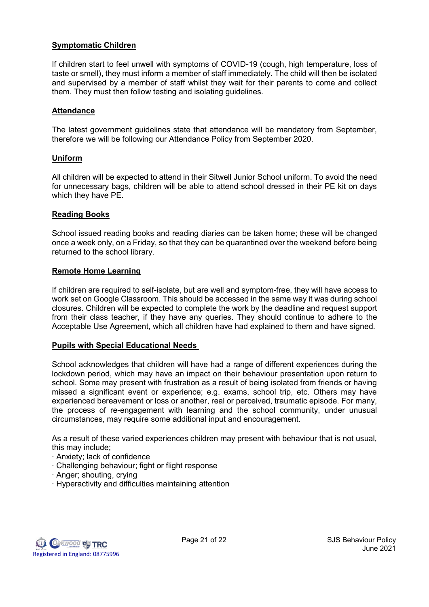### **Symptomatic Children**

If children start to feel unwell with symptoms of COVID-19 (cough, high temperature, loss of taste or smell), they must inform a member of staff immediately. The child will then be isolated and supervised by a member of staff whilst they wait for their parents to come and collect them. They must then follow testing and isolating guidelines.

#### **Attendance**

The latest government guidelines state that attendance will be mandatory from September, therefore we will be following our Attendance Policy from September 2020.

#### **Uniform**

All children will be expected to attend in their Sitwell Junior School uniform. To avoid the need for unnecessary bags, children will be able to attend school dressed in their PE kit on days which they have PE.

#### **Reading Books**

School issued reading books and reading diaries can be taken home; these will be changed once a week only, on a Friday, so that they can be quarantined over the weekend before being returned to the school library.

#### **Remote Home Learning**

If children are required to self-isolate, but are well and symptom-free, they will have access to work set on Google Classroom. This should be accessed in the same way it was during school closures. Children will be expected to complete the work by the deadline and request support from their class teacher, if they have any queries. They should continue to adhere to the Acceptable Use Agreement, which all children have had explained to them and have signed.

#### **Pupils with Special Educational Needs**

School acknowledges that children will have had a range of different experiences during the lockdown period, which may have an impact on their behaviour presentation upon return to school. Some may present with frustration as a result of being isolated from friends or having missed a significant event or experience; e.g. exams, school trip, etc. Others may have experienced bereavement or loss or another, real or perceived, traumatic episode. For many, the process of re-engagement with learning and the school community, under unusual circumstances, may require some additional input and encouragement.

As a result of these varied experiences children may present with behaviour that is not usual, this may include;

- ∙ Anxiety; lack of confidence
- ∙ Challenging behaviour; fight or flight response
- ∙ Anger; shouting, crying
- ∙ Hyperactivity and difficulties maintaining attention